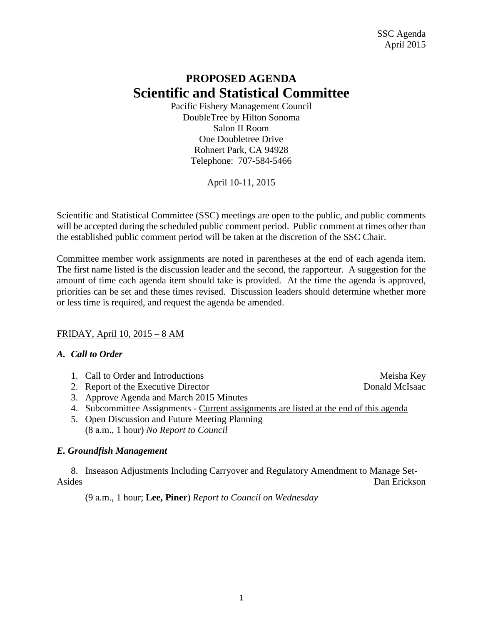# **PROPOSED AGENDA Scientific and Statistical Committee**

Pacific Fishery Management Council DoubleTree by Hilton Sonoma Salon II Room One Doubletree Drive Rohnert Park, CA 94928 Telephone: 707-584-5466

April 10-11, 2015

Scientific and Statistical Committee (SSC) meetings are open to the public, and public comments will be accepted during the scheduled public comment period. Public comment at times other than the established public comment period will be taken at the discretion of the SSC Chair.

Committee member work assignments are noted in parentheses at the end of each agenda item. The first name listed is the discussion leader and the second, the rapporteur. A suggestion for the amount of time each agenda item should take is provided. At the time the agenda is approved, priorities can be set and these times revised. Discussion leaders should determine whether more or less time is required, and request the agenda be amended.

## FRIDAY, April 10, 2015 – 8 AM

## *A. Call to Order*

- 1. Call to Order and Introductions and the service of the Meisha Key
- 2. Report of the Executive Director Donald McIsaac
- 3. Approve Agenda and March 2015 Minutes
- 4. Subcommittee Assignments Current assignments are listed at the end of this agenda
- 5. Open Discussion and Future Meeting Planning (8 a.m., 1 hour) *No Report to Council*

## *E. Groundfish Management*

8. Inseason Adjustments Including Carryover and Regulatory Amendment to Manage Set-Asides Dan Erickson

(9 a.m., 1 hour; **Lee, Piner**) *Report to Council on Wednesday*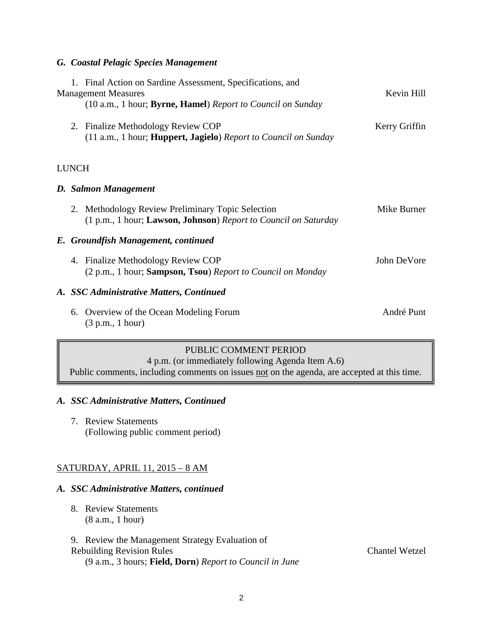#### *G. Coastal Pelagic Species Management*

|                                          | 1. Final Action on Sardine Assessment, Specifications, and<br><b>Management Measures</b>                          | Kevin Hill    |  |  |  |
|------------------------------------------|-------------------------------------------------------------------------------------------------------------------|---------------|--|--|--|
|                                          | (10 a.m., 1 hour; Byrne, Hamel) Report to Council on Sunday                                                       |               |  |  |  |
|                                          | 2. Finalize Methodology Review COP<br>(11 a.m., 1 hour; <b>Huppert, Jagielo</b> ) Report to Council on Sunday     | Kerry Griffin |  |  |  |
| <b>LUNCH</b>                             |                                                                                                                   |               |  |  |  |
| D. Salmon Management                     |                                                                                                                   |               |  |  |  |
| 2.                                       | Methodology Review Preliminary Topic Selection<br>(1 p.m., 1 hour; Lawson, Johnson) Report to Council on Saturday | Mike Burner   |  |  |  |
|                                          | E. Groundfish Management, continued                                                                               |               |  |  |  |
| 4.                                       | <b>Finalize Methodology Review COP</b><br>(2 p.m., 1 hour; Sampson, Tsou) Report to Council on Monday             | John DeVore   |  |  |  |
| A. SSC Administrative Matters, Continued |                                                                                                                   |               |  |  |  |
| 6.                                       | Overview of the Ocean Modeling Forum<br>(3 p.m., 1 hour)                                                          | André Punt    |  |  |  |

## PUBLIC COMMENT PERIOD

4 p.m. (or immediately following Agenda Item A.6)

Public comments, including comments on issues not on the agenda, are accepted at this time.

### *A. SSC Administrative Matters, Continued*

7. Review Statements (Following public comment period)

## SATURDAY, APRIL 11, 2015 – 8 AM

### *A. SSC Administrative Matters, continued*

- 8. Review Statements (8 a.m., 1 hour)
- 9. Review the Management Strategy Evaluation of Rebuilding Revision Rules **Chantel Wetzel** (9 a.m., 3 hours; **Field, Dorn**) *Report to Council in June*